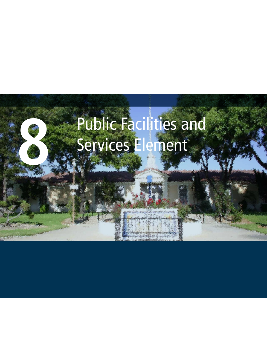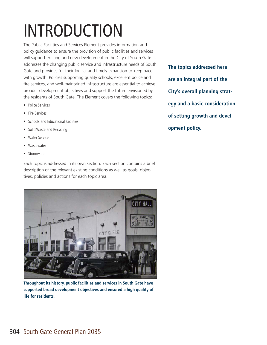# INTRODUCTION

The Public Facilities and Services Element provides information and policy guidance to ensure the provision of public facilities and services will support existing and new development in the City of South Gate. It addresses the changing public service and infrastructure needs of South Gate and provides for their logical and timely expansion to keep pace with growth. Policies supporting quality schools, excellent police and fire services, and well-maintained infrastructure are essential to achieve broader development objectives and support the future envisioned by the residents of South Gate. The Element covers the following topics:

- Police Services
- Fire Services
- Schools and Educational Facilities
- Solid Waste and Recycling
- Water Service
- Wastewater
- Stormwater

Each topic is addressed in its own section. Each section contains a brief description of the relevant existing conditions as well as goals, objectives, policies and actions for each topic area.



**Throughout its history, public facilities and services in South Gate have supported broad development objectives and ensured a high quality of life for residents.**

**The topics addressed here are an integral part of the City's overall planning strategy and a basic consideration of setting growth and development policy.**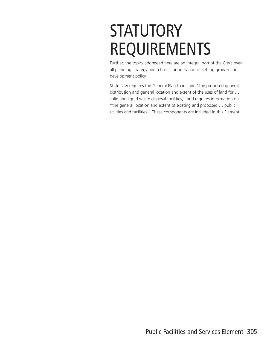# **STATUTORY** REQUIREMENTS

Further, the topics addressed here are an integral part of the City's overall planning strategy and a basic consideration of setting growth and development policy.

State Law requires the General Plan to include "the proposed general distribution and general location and extent of the uses of land for … solid and liquid waste disposal facilities," and requires information on "the general location and extent of existing and proposed … public utilities and facilities." These components are included in this Element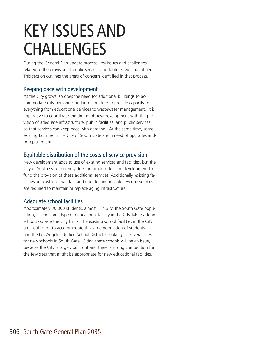# KEY ISSUES AND CHALLENGES

During the General Plan update process, key issues and challenges related to the provision of public services and facilities were identified. This section outlines the areas of concern identified in that process.

### Keeping pace with development

As the City grows, so does the need for additional buildings to accommodate City personnel and infrastructure to provide capacity for everything from educational services to wastewater management. It is imperative to coordinate the timing of new development with the provision of adequate infrastructure, public facilities, and public services so that services can keep pace with demand. At the same time, some existing facilities in the City of South Gate are in need of upgrades and/ or replacement.

### Equitable distribution of the costs of service provision

New development adds to use of existing services and facilities, but the City of South Gate currently does not impose fees on development to fund the provision of these additional services. Additionally, existing facilities are costly to maintain and update, and reliable revenue sources are required to maintain or replace aging infrastructure.

### Adequate school facilities

Approximately 30,000 students, almost 1 in 3 of the South Gate population, attend some type of educational facility in the City. More attend schools outside the City limits. The existing school facilities in the City are insufficient to accommodate this large population of students and the Los Angeles Unified School District is looking for several sites for new schools in South Gate. Siting these schools will be an issue, because the City is largely built out and there is strong competition for the few sites that might be appropriate for new educational facilities.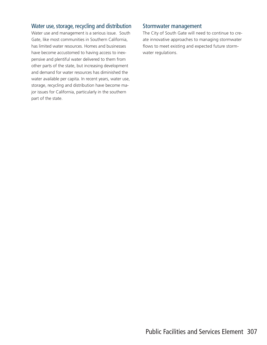### Water use, storage, recycling and distribution

Water use and management is a serious issue. South Gate, like most communities in Southern California, has limited water resources. Homes and businesses have become accustomed to having access to inexpensive and plentiful water delivered to them from other parts of the state, but increasing development and demand for water resources has diminished the water available per capita. In recent years, water use, storage, recycling and distribution have become major issues for California, particularly in the southern part of the state.

#### Stormwater management

The City of South Gate will need to continue to create innovative approaches to managing stormwater flows to meet existing and expected future stormwater regulations.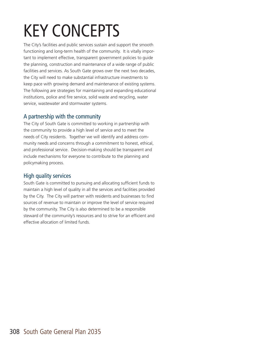# KEY CONCEPTS

The City's facilities and public services sustain and support the smooth functioning and long-term health of the community. It is vitally important to implement effective, transparent government policies to guide the planning, construction and maintenance of a wide range of public facilities and services. As South Gate grows over the next two decades, the City will need to make substantial infrastructure investments to keep pace with growing demand and maintenance of existing systems. The following are strategies for maintaining and expanding educational institutions, police and fire service, solid waste and recycling, water service, wastewater and stormwater systems.

### A partnership with the community

The City of South Gate is committed to working in partnership with the community to provide a high level of service and to meet the needs of City residents. Together we will identify and address community needs and concerns through a commitment to honest, ethical, and professional service. Decision-making should be transparent and include mechanisms for everyone to contribute to the planning and policymaking process.

### High quality services

South Gate is committed to pursuing and allocating sufficient funds to maintain a high level of quality in all the services and facilities provided by the City. The City will partner with residents and businesses to find sources of revenue to maintain or improve the level of service required by the community. The City is also determined to be a responsible steward of the community's resources and to strive for an efficient and effective allocation of limited funds.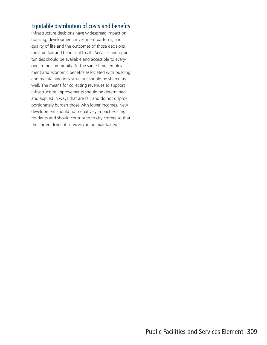### Equitable distribution of costs and benefits

Infrastructure decisions have widespread impact on housing, development, investment patterns, and quality of life and the outcomes of those decisions must be fair and beneficial to all. Services and opportunities should be available and accessible to everyone in the community. At the same time, employment and economic benefits associated with building and maintaining infrastructure should be shared as well. The means for collecting revenues to support infrastructure improvements should be determined and applied in ways that are fair and do not disproportionately burden those with lower incomes. New development should not negatively impact existing residents and should contribute to city coffers so that the current level of services can be maintained.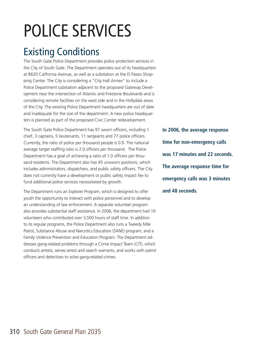# POLICE SERVICES

# Existing Conditions

The South Gate Police Department provides police protection services in the City of South Gate. The Department operates out of its headquarters at 8620 California Avenue, as well as a substation at the El Paseo Shopping Center. The City is considering a "City Hall Annex" to include a Police Department substation adjacent to the proposed Gateway Development near the intersection of Atlantic and Firestone Boulevards and is considering remote facilities on the west side and in the Hollydale areas of the City. The existing Police Department headquarters are out of date and inadequate for the size of the department. A new police headquarters is planned as part of the proposed Civic Center redevelopment.

The South Gate Police Department has 97 sworn officers, including 1 chief, 3 captains, 5 lieutenants, 11 sergeants and 77 police officers. Currently, the ratio of police per thousand people is 0.9. The national average target staffing ratio is 2.0 officers per thousand. The Police Department has a goal of achieving a ratio of 1.0 officers per thousand residents. The Department also has 45 unsworn positions, which includes administrators, dispatchers, and public safety officers. The City does not currently have a development or public safety impact fee to fund additional police services necessitated by growth.

The Department runs an Explorer Program, which is designed to offer youth the opportunity to interact with police personnel and to develop an understanding of law enforcement. A separate volunteer program also provides substantial staff assistance. In 2006, the department had 19 volunteers who contributed over 3,500 hours of staff time. In addition to its regular programs, the Police Department also runs a Tweedy Mile Patrol, Substance Abuse and Narcotics Education (SANE) program, and a Family Violence Prevention and Education Program. The Department addresses gang-related problems through a Crime Impact Team (CIT), which conducts arrests, serves arrest and search warrants, and works with patrol officers and detectives to solve gang-related crimes.

**In 2006, the average response time for non-emergency calls was 17 minutes and 22 seconds. The average response time for emergency calls was 3 minutes and 48 seconds.**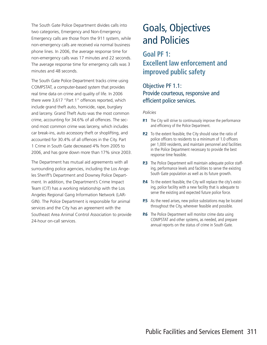The South Gate Police Department divides calls into two categories, Emergency and Non-Emergency. Emergency calls are those from the 911 system, while non-emergency calls are received via normal business phone lines. In 2006, the average response time for non-emergency calls was 17 minutes and 22 seconds. The average response time for emergency calls was 3 minutes and 48 seconds.

The South Gate Police Department tracks crime using COMPSTAT, a computer-based system that provides real time data on crime and quality of life. In 2006 there were 3,617 "Part 1" offences reported, which include grand theft auto, homicide, rape, burglary and larceny. Grand Theft Auto was the most common crime, accounting for 34.6% of all offences. The second most common crime was larceny, which includes car break-ins, auto accessory theft or shoplifting, and accounted for 30.4% of all offences in the City. Part 1 Crime in South Gate decreased 4% from 2005 to 2006, and has gone down more than 17% since 2003.

The Department has mutual aid agreements with all surrounding police agencies, including the Los Angeles Sheriff's Department and Downey Police Department. In addition, the Department's Crime Impact Team (CIT) has a working relationship with the Los Angeles Regional Gang Information Network (LAR-GIN). The Police Department is responsible for animal services and the City has an agreement with the Southeast Area Animal Control Association to provide 24-hour on-call services.

# Goals, Objectives and Policies

### **Goal PF 1: Excellent law enforcement and improved public safety**

### Objective PF 1.1: Provide courteous, responsive and efficient police services.

- **P.1** The City will strive to continuously improve the performance and efficiency of the Police Department.
- **P.2** To the extent feasible, the City should raise the ratio of police officers to residents to a minimum of 1.0 officers per 1,000 residents, and maintain personnel and facilities in the Police Department necessary to provide the best response time feasible.
- **P.3** The Police Department will maintain adequate police staffing, performance levels and facilities to serve the existing South Gate population as well as its future growth.
- **P.4** To the extent feasible, the City will replace the city's existing, police facility with a new facility that is adequate to serve the existing and expected future police force.
- **P.5** As the need arises, new police substations may be located throughout the City, wherever feasible and possible.
- **P.6** The Police Department will monitor crime data using COMPSTAT and other systems, as needed, and prepare annual reports on the status of crime in South Gate.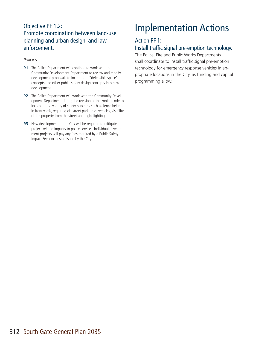### Objective PF 1.2: Promote coordination between land-use planning and urban design, and law enforcement.

#### *Policies*

- **P.1** The Police Department will continue to work with the Community Development Department to review and modify development proposals to incorporate "defensible space" concepts and other public safety design concepts into new development.
- **P.2** The Police Department will work with the Community Development Department during the revision of the zoning code to incorporate a variety of safety concerns such as fence heights in front yards, requiring off-street parking of vehicles, visibility of the property from the street and night lighting.
- **P.3** New development in the City will be required to mitigate project-related impacts to police services. Individual development projects will pay any fees required by a Public Safety Impact Fee, once established by the City.

# Implementation Actions

### Action PF 1:

### Install traffic signal pre-emption technology.

The Police, Fire and Public Works Departments shall coordinate to install traffic signal pre-emption technology for emergency response vehicles in appropriate locations in the City, as funding and capital programming allow.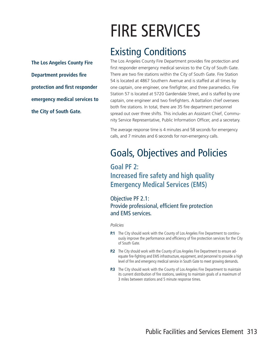# FIRE SERVICES

### Existing Conditions

**The Los Angeles County Fire Department provides fire protection and first responder emergency medical services to the City of South Gate.** 

The Los Angeles County Fire Department provides fire protection and first responder emergency medical services to the City of South Gate. There are two fire stations within the City of South Gate. Fire Station 54 is located at 4867 Southern Avenue and is staffed at all times by one captain, one engineer, one firefighter, and three paramedics. Fire Station 57 is located at 5720 Gardendale Street, and is staffed by one captain, one engineer and two firefighters. A battalion chief oversees both fire stations. In total, there are 35 fire department personnel spread out over three shifts. This includes an Assistant Chief, Community Service Representative, Public Information Officer, and a secretary.

The average response time is 4 minutes and 58 seconds for emergency calls, and 7 minutes and 6 seconds for non-emergency calls.

# Goals, Objectives and Policies

### **Goal PF 2: Increased fire safety and high quality Emergency Medical Services (EMS)**

Objective PF 2.1: Provide professional, efficient fire protection and EMS services.

- **P.1** The City should work with the County of Los Angeles Fire Department to continuously improve the performance and efficiency of fire protection services for the City of South Gate.
- **P.2** The City should work with the County of Los Angeles Fire Department to ensure adequate fire-fighting and EMS infrastructure, equipment, and personnel to provide a high level of fire and emergency medical service in South Gate to meet growing demands.
- **P.3** The City should work with the County of Los Angeles Fire Department to maintain its current distribution of fire stations, seeking to maintain goals of a maximum of 3 miles between stations and 5 minute response times.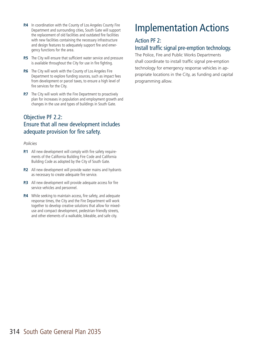- **P.4** In coordination with the County of Los Angeles County Fire Department and surrounding cities, South Gate will support the replacement of old facilities and outdated fire facilities with new facilities containing the necessary infrastructure and design features to adequately support fire and emergency functions for the area.
- **P.5** The City will ensure that sufficient water service and pressure is available throughout the City for use in fire fighting.
- **P.6** The City will work with the County of Los Angeles Fire Department to explore funding sources, such as impact fees from development or parcel taxes, to ensure a high level of fire services for the City.
- **P.7** The City will work with the Fire Department to proactively plan for increases in population and employment growth and changes in the use and types of buildings in South Gate.

### Objective PF 2.2: Ensure that all new development includes adequate provision for fire safety.

#### *Policies*

- **P.1** All new development will comply with fire safety requirements of the California Building Fire Code and California Building Code as adopted by the City of South Gate.
- **P.2** All new development will provide water mains and hydrants as necessary to create adequate fire service.
- **P.3** All new development will provide adequate access for fire service vehicles and personnel.
- **P.4** While seeking to maintain access, fire safety, and adequate response times, the City and the Fire Department will work together to develop creative solutions that allow for mixeduse and compact development, pedestrian-friendly streets, and other elements of a walkable, bikeable, and safe city.

# Implementation Actions

### Action PF 2:

### Install traffic signal pre-emption technology.

The Police, Fire and Public Works Departments shall coordinate to install traffic signal pre-emption technology for emergency response vehicles in appropriate locations in the City, as funding and capital programming allow.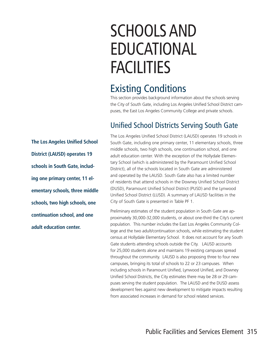# SCHOOLS AND EDUCATIONAL **FACILITIES**

### Existing Conditions

This section provides background information about the schools serving the City of South Gate, including Los Angeles Unified School District campuses, the East Los Angeles Community College and private schools.

### Unified School Districts Serving South Gate

The Los Angeles Unified School District (LAUSD) operates 19 schools in South Gate, including one primary center, 11 elementary schools, three middle schools, two high schools, one continuation school, and one adult education center. With the exception of the Hollydale Elementary School (which is administered by the Paramount Unified School District), all of the schools located in South Gate are administered and operated by the LAUSD. South Gate also has a limited number of residents that attend schools in the Downey Unified School District (DUSD), Paramount Unified School District (PUSD) and the Lynwood Unified School District (LUSD). A summary of LAUSD facilities in the City of South Gate is presented in Table PF 1.

Preliminary estimates of the student population in South Gate are approximately 30,000-32,000 students, or about one-third the City's current population. This number includes the East Los Angeles Community College and the two adult/continuation schools, while estimating the student census at Hollydale Elementary School. It does not account for any South Gate students attending schools outside the City. LAUSD accounts for 25,000 students alone and maintains 19 existing campuses spread throughout the community. LAUSD is also proposing three to four new campuses, bringing its total of schools to 22 or 23 campuses. When including schools in Paramount Unified, Lynwood Unified, and Downey Unified School Districts, the City estimates there may be 28 or 29 campuses serving the student population. The LAUSD and the DUSD assess development fees against new development to mitigate impacts resulting from associated increases in demand for school related services.

**The Los Angeles Unified School District (LAUSD) operates 19 schools in South Gate, including one primary center, 11 elementary schools, three middle schools, two high schools, one continuation school, and one adult education center.**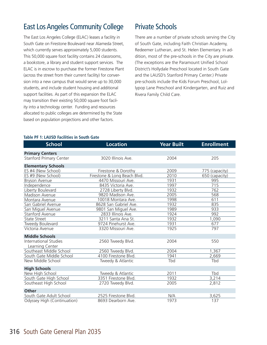### East Los Angeles Community College

The East Los Angeles College (ELAC) leases a facility in South Gate on Firestone Boulevard near Alameda Street, which currently serves approximately 5,000 students. This 50,000 square foot facility contains 24 classrooms, a bookstore, a library and student support services. The ELAC is in escrow to purchase the former Firestone Plant (across the street from their current facility) for conversion into a new campus that would serve up to 30,000 students, and include student housing and additional support facilities. As part of this expansion the ELAC may transition their existing 50,000 square foot facility into a technology center. Funding and resources allocated to public colleges are determined by the State based on population projections and other factors.

### Private Schools

There are a number of private schools serving the City of South Gate, including Faith Christian Academy, Redeemer Lutheran, and St. Helen Elementary. In addition, most of the pre-schools in the City are private. (The exceptions are the Paramount Unified School District's Hollydale Preschool located in South Gate and the LAUSD's Stanford Primary Center.) Private pre-schools include the Kids Forum Preschool, Lollypop Lane Preschool and Kindergarten, and Ruiz and Rivera Family Child Care.

| <b>School</b>                  | <b>Location</b>              | <b>Year Built</b> | <b>Enrollment</b> |
|--------------------------------|------------------------------|-------------------|-------------------|
| <b>Primary Centers</b>         |                              |                   |                   |
| <b>Stanford Primary Center</b> | 3020 Illinois Ave.           | 2004              | 205               |
| <b>Elementary Schools</b>      |                              |                   |                   |
| ES #4 (New School)             | Firestone & Dorothy          | 2009              | 775 (capacity)    |
| ES #9 (New School)             | Firestone & Long Beach Blvd. | 2010              | 650 (capacity)    |
| Bryson Avenue                  | 4470 Missouri Ave.           | 1931              | 995               |
| Independence                   | 8435 Victoria Ave.           | 1997              | 715               |
| Liberty Boulevard              | 2728 Liberty Blvd.           | 1932              | 762               |
| Madison Avenue                 | 9820 Madison Ave.            | 2005              | 568               |
| Montara Avenue                 | 10018 Montara Ave.           | 1998              | 611               |
| San Gabriel Avenue             | 8628 San Gabriel Ave.        | 1932              | 835               |
| San Miguel Avenue              | 9801 San Miguel Ave.         | 1989              | 933               |
| Stanford Avenue                | 2833 Illinois Ave.           | 1924              | 992               |
| State Street                   | 3211 Santa Ana St.           | 1932              | 1,090             |
| Tweedy Boulevard               | 9724 Pinehurst Ave.          | 1931              | 677               |
| Victoria Avenue                | 3320 Missouri Ave.           | 1925              | 797               |
| <b>Middle Schools</b>          |                              |                   |                   |
| <b>International Studies</b>   | 2560 Tweedy Blvd.            | 2004              | 550               |
| Learning Center                |                              |                   |                   |
| Southeast Middle School        | 2560 Tweedy Blvd.            | 2004              | 1,367             |
| South Gate Middle School       | 4100 Firestone Blvd.         | 1941              | 2,669             |
| New Middle School              | Tweedy & Atlantic            | Tbd               | Tbd               |
| <b>High Schools</b>            |                              |                   |                   |
| New High School                | Tweedy & Atlantic            | 2011              | Tbd               |
| South Gate High School         | 3351 Firestone Blvd.         | 1932              | 3,214             |
| Southeast High School          | 2720 Tweedy Blvd.            | 2005              | 2,812             |
| <b>Other</b>                   |                              |                   |                   |
| South Gate Adult School        | 2525 Firestone Blvd.         | N/A               | 3,625             |
| Odyssey High (Continuation)    | 8693 Dearborn Ave.           | 1973              | 137               |

#### **Table PF 1: LAUSD Facilities in South Gate**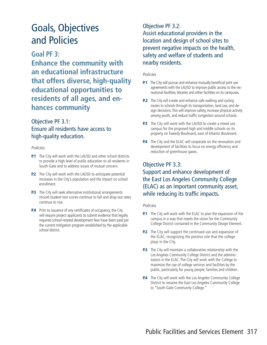## Goals, Objectives and Policies

### **Goal PF 3:**

**Enhance the community with an educational infrastructure that offers diverse, high-quality educational opportunities to residents of all ages, and enhances community**

### Objective PF 3.1: Ensure all residents have access to high-quality education.

#### *Policies*

- **P.1** The City will work with the LAUSD and other school districts to provide a high level of public education to all residents in South Gate and to address issues of mutual concern.
- **P.2** The City will work with the LAUSD to anticipate potential increases in the City's population and the impact on school enrollment.
- **P.3** The City will seek alternative institutional arrangements should student test scores continue to fall and drop-out rates continue to rise.
- **P.4** Prior to issuance of any certificates of occupancy, the City will require project applicants to submit evidence that legally required school-related development fees have been paid per the current mitigation program established by the applicable school district.

### Objective PF 3.2: Assist educational providers in the location and design of school sites to prevent negative impacts on the health, safety and welfare of students and nearby residents.

#### *Policies*

- **P.1** The City will pursue and enhance mutually beneficial joint use agreements with the LAUSD to improve public access to the recreational facilities, libraries and other facilities on its campuses.
- **P.2** The City will create and enhance safe walking and cycling routes to schools through its transportation, land use, and design decisions. This will improve safety, increase physical activity among youth, and reduce traffic congestion around schools.
- **P.3** The City will work with the LAUSD to create a mixed use campus for the proposed high and middle schools on its property on Tweedy Boulevard, east of Atlantic Boulevard.
- **P.4** The City and the ELAC will cooperate on the renovation and development of facilities to focus on energy efficiency and reduction of greenhouse gases.

### Objective PF 3.3: Support and enhance development of the East Los Angeles Community College (ELAC) as an important community asset, while reducing its traffic impacts.

- **P.1** The City will work with the ELAC to plan the expansion of the campus in a way that meets the vision for the Community College District contained in the Community Design Element.
- **P.2** The City will support the continued use and expansion of the ELAC, recognizing the positive role that the college plays in the City.
- **P.3** The City will maintain a collaborative relationship with the Los Angeles Community College District and the administrators in the ELAC. The City will work with the College to maximize the use of college services and facilities by the public, particularly for young people, families and children.
- **P.4** The City will work with the Los Angeles Community College District to rename the East Los Angeles Community College to "South Gate Community College."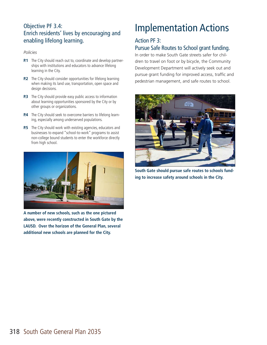### Objective PF 3.4: Enrich residents' lives by encouraging and enabling lifelong learning.

#### *Policies*

- **P.1** The City should reach out to, coordinate and develop partnerships with institutions and educators to advance lifelong learning in the City.
- **P.2** The City should consider opportunities for lifelong learning when making its land use, transportation, open space and design decisions.
- **P.3** The City should provide easy public access to information about learning opportunities sponsored by the City or by other groups or organizations.
- **P.4** The City should seek to overcome barriers to lifelong learning, especially among underserved populations.
- **P.5** The City should work with existing agencies, educators and businesses to expand "school-to-work" programs to assist non-college bound students to enter the workforce directly from high school.



**A number of new schools, such as the one pictured above, were recently constructed in South Gate by the LAUSD. Over the horizon of the General Plan, several additional new schools are planned for the City.**

# Implementation Actions

### Action PF 3:

### Pursue Safe Routes to School grant funding.

In order to make South Gate streets safer for children to travel on foot or by bicycle, the Community Development Department will actively seek out and pursue grant funding for improved access, traffic and pedestrian management, and safe routes to school.



**South Gate should pursue safe routes to schools funding to increase safety around schools in the City.**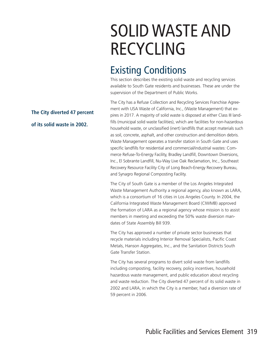# SOLID WASTE AND RECYCLING

## Existing Conditions

This section describes the existing solid waste and recycling services available to South Gate residents and businesses. These are under the supervision of the Department of Public Works.

The City has a Refuse Collection and Recycling Services Franchise Agreement with USA Waste of California, Inc., (Waste Management) that expires in 2017. A majority of solid waste is disposed at either Class III landfills (municipal solid waste facilities), which are facilities for non-hazardous household waste, or unclassified (inert) landfills that accept materials such as soil, concrete, asphalt, and other construction and demolition debris. Waste Management operates a transfer station in South Gate and uses specific landfills for residential and commercial/industrial wastes: Commerce Refuse-To-Energy Facility, Bradley Landfill, Downtown Diversions, Inc., El Sobrante Landfill, Nu-Way Live Oak Reclamation, Inc., Southeast Recovery Resource Facility City of Long Beach-Energy Recovery Bureau, and Synagro Regional Composting Facility.

The City of South Gate is a member of the Los Angeles Integrated Waste Management Authority a regional agency, also known as LARA, which is a consortium of 16 cities in Los Angeles County. In 2004, the California Integrated Waste Management Board (CIWMB) approved the formation of LARA as a regional agency whose mission is to assist members in meeting and exceeding the 50% waste diversion mandates of State Assembly Bill 939.

The City has approved a number of private sector businesses that recycle materials including Interior Removal Specialists, Pacific Coast Metals, Hanson Aggregates, Inc., and the Sanitation Districts South Gate Transfer Station.

The City has several programs to divert solid waste from landfills including composting, facility recovery, policy incentives, household hazardous waste management, and public education about recycling and waste reduction. The City diverted 47 percent of its solid waste in 2002 and LARA, in which the City is a member, had a diversion rate of 59 percent in 2006.

### **The City diverted 47 percent of its solid waste in 2002.**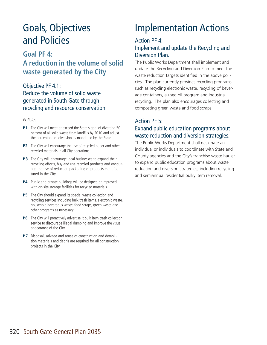## Goals, Objectives and Policies

### **Goal PF 4: A reduction in the volume of solid waste generated by the City**

### Objective PF 4.1: Reduce the volume of solid waste generated in South Gate through recycling and resource conservation.

#### *Policies*

- **P.1** The City will meet or exceed the State's goal of diverting 50 percent of all solid waste from landfills by 2010 and adjust the percentage of diversion as mandated by the State.
- **P.2** The City will encourage the use of recycled paper and other recycled materials in all City operations.
- **P.3** The City will encourage local businesses to expand their recycling efforts, buy and use recycled products and encourage the use of reduction packaging of products manufactured in the City.
- **P.4** Public and private buildings will be designed or improved with on-site storage facilities for recycled materials.
- **P.5** The City should expand its special waste collection and recycling services including bulk trash items, electronic waste, household hazardous waste, food scraps, green waste and other programs as necessary.
- **P.6** The City will proactively advertise it bulk item trash collection service to discourage illegal dumping and improve the visual appearance of the City.
- **P.7** Disposal, salvage and reuse of construction and demolition materials and debris are required for all construction projects in the City.

# Implementation Actions

#### Action PF 4:

### Implement and update the Recycling and Diversion Plan.

The Public Works Department shall implement and update the Recycling and Diversion Plan to meet the waste reduction targets identified in the above policies. The plan currently provides recycling programs such as recycling electronic waste, recycling of beverage containers, a used oil program and industrial recycling. The plan also encourages collecting and composting green waste and food scraps.

### Action PF 5: Expand public education programs about waste reduction and diversion strategies.

The Public Works Department shall designate an individual or individuals to coordinate with State and County agencies and the City's franchise waste hauler to expand public education programs about waste reduction and diversion strategies, including recycling and semiannual residential bulky item removal.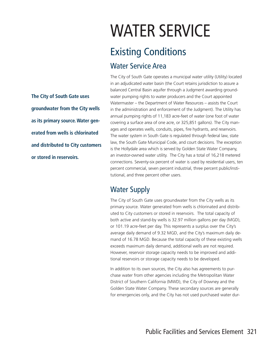# WATER SERVICE

# Existing Conditions

### Water Service Area

The City of South Gate operates a municipal water utility (Utility) located in an adjudicated water basin (the Court retains jurisdiction to assure a balanced Central Basin aquifer through a Judgment awarding groundwater pumping rights to water producers and the Court appointed Watermaster – the Department of Water Resources – assists the Court in the administration and enforcement of the Judgment). The Utility has annual pumping rights of 11,183 acre-feet of water (one foot of water covering a surface area of one acre, or 325,851 gallons). The City manages and operates wells, conduits, pipes, fire hydrants, and reservoirs. The water system in South Gate is regulated through federal law, state law, the South Gate Municipal Code, and court decisions. The exception is the Hollydale area which is served by Golden State Water Company, an investor-owned water utility. The City has a total of 16,218 metered connections. Seventy-six percent of water is used by residential users, ten percent commercial, seven percent industrial, three percent public/institutional, and three percent other users.

### Water Supply

The City of South Gate uses groundwater from the City wells as its primary source. Water generated from wells is chlorinated and distributed to City customers or stored in reservoirs. The total capacity of both active and stand-by wells is 32.97 million gallons per day (MGD), or 101.19 acre-feet per day. This represents a surplus over the City's average daily demand of 9.32 MGD, and the City's maximum daily demand of 16.78 MGD. Because the total capacity of these existing wells exceeds maximum daily demand, additional wells are not required. However, reservoir storage capacity needs to be improved and additional reservoirs or storage capacity needs to be developed.

In addition to its own sources, the City also has agreements to purchase water from other agencies including the Metropolitan Water District of Southern California (MWD), the City of Downey and the Golden State Water Company. These secondary sources are generally for emergencies only, and the City has not used purchased water dur-

**The City of South Gate uses groundwater from the City wells as its primary source. Water generated from wells is chlorinated and distributed to City customers or stored in reservoirs.**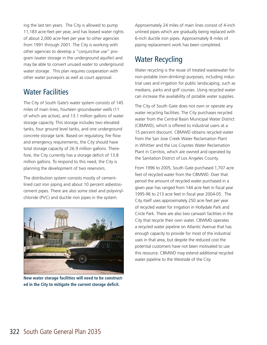ing the last ten years. The City is allowed to pump 11,183 acre-feet per year, and has leased water rights of about 2,000 acre-feet per year to other agencies from 1991 through 2001. The City is working with other agencies to develop a "conjunctive use" program (water storage in the underground aquifer) and may be able to convert unused water to underground water storage. This plan requires cooperation with other water purveyors as well as court approval.

### Water Facilities

The City of South Gate's water system consists of 145 miles of main lines, fourteen groundwater wells (11 of which are active), and 13.1 million gallons of water storage capacity. This storage includes two elevated tanks, four ground level tanks, and one underground concrete storage tank. Based on regulatory, fire flow and emergency requirements, the City should have total storage capacity of 26.9 million gallons. Therefore, the City currently has a storage deficit of 13.8 million gallons. To respond to this need, the City is planning the development of two reservoirs.

The distribution system consists mostly of cementlined cast iron piping and about 10 percent asbestoscement pipes. There are also some steel and polyvinylchloride (PVC) and ductile iron pipes in the system.



**New water storage facilities will need to be constructed in the City to mitigate the current storage deficit.**

Approximately 24 miles of main lines consist of 4-inch unlined pipes which are gradually being replaced with 6-inch ductile iron pipes. Approximately 8 miles of piping replacement work has been completed.

### Water Recycling

Water recycling is the reuse of treated wastewater for non-potable (non-drinking) purposes, including industrial uses and irrigation for public landscaping, such as medians, parks and golf courses. Using recycled water can increase the availability of potable water supplies.

The City of South Gate does not own or operate any water recycling facilities. The City purchases recycled water from the Central Basin Municipal Water District (CBMWD), which is offered to industrial users at a 15 percent discount. CBMWD obtains recycled water from the San Jose Creek Water Reclamation Plant in Whittier and the Los Coyotes Water Reclamation Plant in Cerritos, which are owned and operated by the Sanitation District of Los Angeles County.

From 1996 to 2005, South Gate purchased 1,707 acre feet of recycled water from the CBMWD. Over that period the amount of recycled water purchased in a given year has ranged from 144 acre feet in fiscal year 1995-96 to 213 acre feet in fiscal year 2004-05. The City itself uses approximately 250 acre feet per year of recycled water for irrigation in Hollydale Park and Circle Park. There are also two carwash facilities in the City that recycle their own water. CBWMD operates a recycled water pipeline on Atlantic Avenue that has enough capacity to provide for most of the industrial uses in that area, but despite the reduced cost the potential customers have not been motivated to use this resource. CBMWD may extend additional recycled water pipeline to the Westside of the City.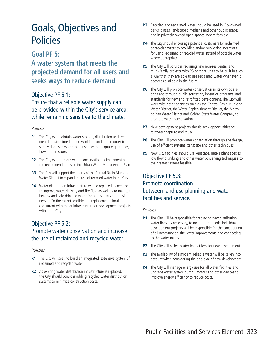## Goals, Objectives and Policies

### **Goal PF 5:**

### **A water system that meets the projected demand for all users and seeks ways to reduce demand**

### Objective PF 5.1:

Ensure that a reliable water supply can be provided within the City's service area, while remaining sensitive to the climate.

#### *Policies*

- **P.1** The City will maintain water storage, distribution and treatment infrastructure in good working condition in order to supply domestic water to all users with adequate quantities, flow and pressure.
- **P.2** The City will promote water conservation by implementing the recommendations of the Urban Water Management Plan.
- **P.3** The City will support the efforts of the Central Basin Municipal Water District to expand the use of recycled water in the City.
- **P.4** Water distribution infrastructure will be replaced as needed to improve water delivery and fire flow as well as to maintain healthy and safe drinking water for all residents and businesses. To the extent feasible, the replacement should be concurrent with major infrastructure or development projects within the City.

### Objective PF 5.2: Promote water conservation and increase the use of reclaimed and recycled water.

#### *Policies*

- **P.1** The City will seek to build an integrated, extensive system of reclaimed and recycled water.
- **P.2** As existing water distribution infrastructure is replaced, the City should consider adding recycled water distribution systems to minimize construction costs.
- **P.3** Recycled and reclaimed water should be used in City-owned parks, plazas, landscaped medians and other public spaces and in privately-owned open spaces, where feasible.
- **P.4** The City should encourage potential customers for reclaimed or recycled water by providing and/or publicizing incentives for using reclaimed or recycled water instead of potable water, where appropriate.
- **P.5** The City will consider requiring new non-residential and multi-family projects with 25 or more units to be built in such a way that they are able to use reclaimed water whenever it becomes available in the future.
- **P.6** The City will promote water conservation in its own operations and through public education, incentive programs, and standards for new and retrofitted development. The City will work with other agencies such as the Central Basin Municipal Water District, the Water Replenishment District, the Metropolitan Water District and Golden State Water Company to promote water conservation.
- **P.7** New development projects should seek opportunities for rainwater capture and reuse.
- **P.8** The City will promote water conservation through site design, use of efficient systems, xeriscape and other techniques.
- **P.9** New City facilities should use xeriscape, native plant species, low flow plumbing and other water conserving techniques, to the greatest extent feasible.

### Objective PF 5.3: Promote coordination between land use planning and water facilities and service.

- **P.1** The City will be responsible for replacing new distribution water lines, as necessary, to meet future needs. Individual development projects will be responsible for the construction of all necessary on-site water improvements and connecting to the water mains.
- **P.2** The City will collect water impact fees for new development.
- **P.3** The availability of sufficient, reliable water will be taken into account when considering the approval of new development.
- **P.4** The City will manage energy use for all water facilities and upgrade water system pumps, motors and other devices to improve energy efficiency to reduce costs.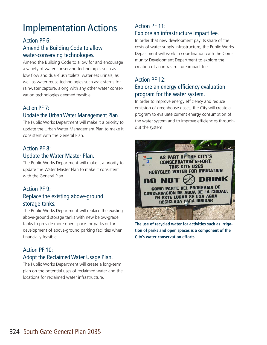# Implementation Actions

### Action PF 6: Amend the Building Code to allow water-conserving technologies.

Amend the Building Code to allow for and encourage a variety of water-conserving technologies such as: low flow and dual-flush toilets, waterless urinals, as well as water reuse technologies such as: cisterns for rainwater capture, along with any other water conservation technologies deemed feasible.

### Action PF 7: Update the Urban Water Management Plan.

The Public Works Department will make it a priority to update the Urban Water Management Plan to make it consistent with the General Plan.

### Action PF 8: Update the Water Master Plan.

The Public Works Department will make it a priority to update the Water Master Plan to make it consistent with the General Plan.

### Action PF 9: Replace the existing above-ground storage tanks.

The Public Works Department will replace the existing above-ground storage tanks with new below-grade tanks to provide more open space for parks or for development of above-ground parking facilities when financially feasible.

### Action PF 10: Adopt the Reclaimed Water Usage Plan.

The Public Works Department will create a long-term plan on the potential uses of reclaimed water and the locations for reclaimed water infrastructure.

### Action PF 11: Explore an infrastructure impact fee.

In order that new development pay its share of the costs of water supply infrastructure, the Public Works Department will work in coordination with the Community Development Department to explore the creation of an infrastructure impact fee.

### Action PF 12: Explore an energy efficiency evaluation program for the water system.

In order to improve energy efficiency and reduce emission of greenhouse gases, the City will create a program to evaluate current energy consumption of the water system and to improve efficiencies throughout the system.



**The use of recycled water for activities such as irrigation of parks and open spaces is a component of the City's water conservation efforts.**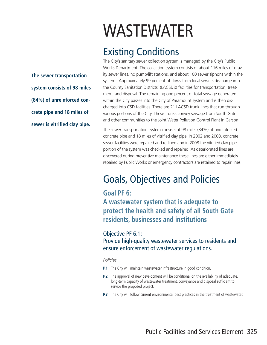**The sewer transportation system consists of 98 miles (84%) of unreinforced concrete pipe and 18 miles of sewer is vitrified clay pipe.**

# WASTEWATER

## Existing Conditions

The City's sanitary sewer collection system is managed by the City's Public Works Department. The collection system consists of about 116 miles of gravity sewer lines, no pump/lift stations, and about 100 sewer siphons within the system. Approximately 99 percent of flows from local sewers discharge into the County Sanitation Districts' (LACSD's) facilities for transportation, treatment, and disposal. The remaining one percent of total sewage generated within the City passes into the City of Paramount system and is then discharged into CSD facilities. There are 21 LACSD trunk lines that run through various portions of the City. These trunks convey sewage from South Gate and other communities to the Joint Water Pollution Control Plant in Carson.

The sewer transportation system consists of 98 miles (84%) of unreinforced concrete pipe and 18 miles of vitrified clay pipe. In 2002 and 2003, concrete sewer facilities were repaired and re-lined and in 2008 the vitrified clay pipe portion of the system was checked and repaired. As deteriorated lines are discovered during preventive maintenance these lines are either immediately repaired by Public Works or emergency contractors are retained to repair lines.

## Goals, Objectives and Policies

### **Goal PF 6:**

**A wastewater system that is adequate to protect the health and safety of all South Gate residents, businesses and institutions**

### Objective PF 6.1:

Provide high-quality wastewater services to residents and ensure enforcement of wastewater regulations.

- **P.1** The City will maintain wastewater infrastructure in good condition.
- **P.2** The approval of new development will be conditional on the availability of adequate, long-term capacity of wastewater treatment, conveyance and disposal sufficient to service the proposed project.
- **P.3** The City will follow current environmental best practices in the treatment of wastewater.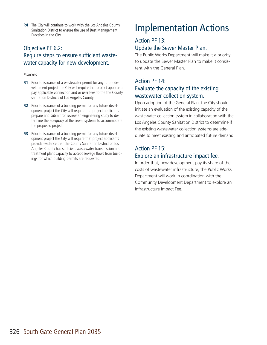**P.4** The City will continue to work with the Los Angeles County Sanitation District to ensure the use of Best Management Practices in the City.

### Objective PF 6.2: Require steps to ensure sufficient wastewater capacity for new development.

#### *Policies*

- **P.1** Prior to issuance of a wastewater permit for any future development project the City will require that project applicants pay applicable connection and or user fees to the the County sanitation Districts of Los Angeles County.
- **P.2** Prior to issuance of a building permit for any future development project the City will require that project applicants prepare and submit for review an engineering study to determine the adequacy of the sewer systems to accommodate the proposed project.
- **P.3** Prior to issuance of a building permit for any future development project the City will require that project applicants provide evidence that the County Sanitation District of Los Angeles County has sufficient wastewater transmission and treatment plant capacity to accept sewage flows from buildings for which building permits are requested.

# Implementation Actions

### Action PF 13: Update the Sewer Master Plan.

The Public Works Department will make it a priority to update the Sewer Master Plan to make it consistent with the General Plan.

### Action PF 14: Evaluate the capacity of the existing wastewater collection system.

Upon adoption of the General Plan, the City should initiate an evaluation of the existing capacity of the wastewater collection system in collaboration with the Los Angeles County Sanitation District to determine if the existing wastewater collection systems are adequate to meet existing and anticipated future demand.

### Action PF 15: Explore an infrastructure impact fee.

In order that, new development pay its share of the costs of wastewater infrastructure, the Public Works Department will work in coordination with the Community Development Department to explore an Infrastructure Impact Fee.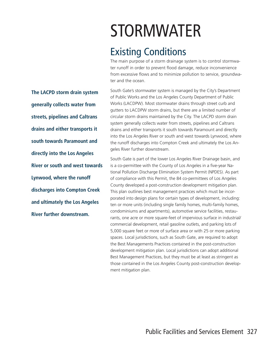STORMWATER

### Existing Conditions

The main purpose of a storm drainage system is to control stormwater runoff in order to prevent flood damage, reduce inconvenience from excessive flows and to minimize pollution to service, groundwater and the ocean.

South Gate's stormwater system is managed by the City's Department of Public Works and the Los Angeles County Department of Public Works (LACDPW). Most stormwater drains through street curb and gutters to LACDPW storm drains, but there are a limited number of circular storm drains maintained by the City. The LACPD storm drain system generally collects water from streets, pipelines and Caltrans drains and either transports it south towards Paramount and directly into the Los Angeles River or south and west towards Lynwood, where the runoff discharges into Compton Creek and ultimately the Los Angeles River further downstream.

South Gate is part of the lower Los Angeles River Drainage basin, and is a co-permittee with the County of Los Angeles in a five-year National Pollution Discharge Elimination System Permit (NPDES). As part of compliance with this Permit, the 84 co-permittees of Los Angeles County developed a post-construction development mitigation plan. This plan outlines best management practices which must be incorporated into design plans for certain types of development, including: ten or more units (including single family homes, multi-family homes, condominiums and apartments), automotive service facilities, restaurants, one acre or more square-feet of impervious surface in industrial/ commercial development, retail gasoline outlets, and parking lots of 5,000 square feet or more of surface area or with 25 or more parking spaces. Local jurisdictions, such as South Gate, are required to adopt the Best Managements Practices contained in the post-construction development mitigation plan. Local jurisdictions can adopt additional Best Management Practices, but they must be at least as stringent as those contained in the Los Angeles County post-construction development mitigation plan.

**The LACPD storm drain system generally collects water from streets, pipelines and Caltrans drains and either transports it south towards Paramount and directly into the Los Angeles River or south and west towards Lynwood, where the runoff discharges into Compton Creek and ultimately the Los Angeles River further downstream.**